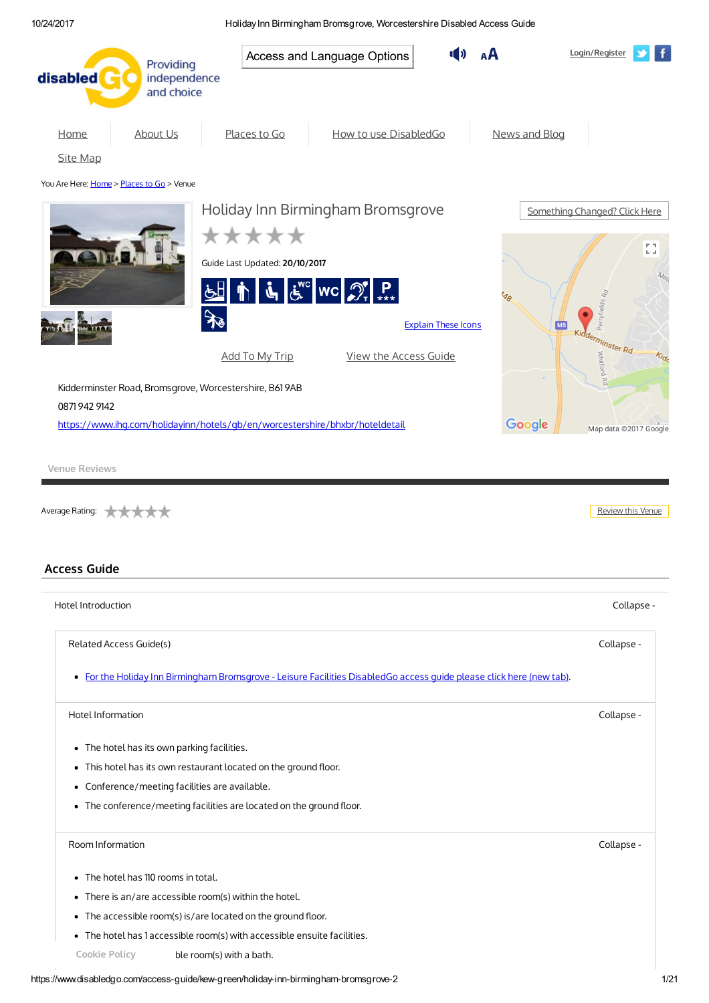| disabled                                  | Providing<br>independence                              | Access and Language Options                                                                                                                                                                                                                                                                                                              | Login/Register                     |
|-------------------------------------------|--------------------------------------------------------|------------------------------------------------------------------------------------------------------------------------------------------------------------------------------------------------------------------------------------------------------------------------------------------------------------------------------------------|------------------------------------|
|                                           | and choice                                             |                                                                                                                                                                                                                                                                                                                                          |                                    |
| Home                                      | <b>About Us</b>                                        | Places to Go<br>How to use DisabledGo<br>News and Blog                                                                                                                                                                                                                                                                                   |                                    |
| <b>Site Map</b>                           |                                                        |                                                                                                                                                                                                                                                                                                                                          |                                    |
| You Are Here: Home > Places to Go > Venue |                                                        |                                                                                                                                                                                                                                                                                                                                          |                                    |
|                                           |                                                        | Holiday Inn Birmingham Bromsgrove                                                                                                                                                                                                                                                                                                        | Something Changed? Click Here      |
|                                           |                                                        | *****                                                                                                                                                                                                                                                                                                                                    |                                    |
|                                           |                                                        |                                                                                                                                                                                                                                                                                                                                          | mп.<br>$\mathbf{L}_\mathrm{c}$ and |
|                                           |                                                        | Guide Last Updated: 20/10/2017                                                                                                                                                                                                                                                                                                           |                                    |
|                                           |                                                        | $\underline{\mathcal{F}}$ $\mathbb{E}$ $\mathbb{E}$ $\mathbb{E}$ $\mathbb{E}$ $\mathbb{E}$ $\mathbb{E}$ $\mathbb{E}$ $\mathbb{E}$ $\mathbb{E}$ $\mathbb{E}$ $\mathbb{E}$ $\mathbb{E}$ $\mathbb{E}$ $\mathbb{E}$ $\mathbb{E}$ $\mathbb{E}$ $\mathbb{E}$ $\mathbb{E}$ $\mathbb{E}$ $\mathbb{E}$ $\mathbb{E}$ $\mathbb{E}$ $\mathbb{E}$ $\$ |                                    |
|                                           | $\mathcal{F}$                                          | <b>Explain These Icons</b><br>M <sub>5</sub>                                                                                                                                                                                                                                                                                             | Perryfields Ro                     |
|                                           |                                                        |                                                                                                                                                                                                                                                                                                                                          | kidderminster Rd                   |
|                                           |                                                        | View the Access Guide<br>Add To My Trip                                                                                                                                                                                                                                                                                                  | Whitford Rd                        |
|                                           | Kidderminster Road, Bromsgrove, Worcestershire, B619AB |                                                                                                                                                                                                                                                                                                                                          |                                    |
| 08719429142                               |                                                        |                                                                                                                                                                                                                                                                                                                                          |                                    |
|                                           |                                                        | Google<br>https://www.ihq.com/holidayinn/hotels/qb/en/worcestershire/bhxbr/hoteldetail                                                                                                                                                                                                                                                   | Map data @2017 Google              |
| Average Rating:                           |                                                        |                                                                                                                                                                                                                                                                                                                                          | Review this Venue                  |
|                                           |                                                        |                                                                                                                                                                                                                                                                                                                                          |                                    |
|                                           |                                                        |                                                                                                                                                                                                                                                                                                                                          |                                    |
|                                           |                                                        |                                                                                                                                                                                                                                                                                                                                          |                                    |
|                                           |                                                        |                                                                                                                                                                                                                                                                                                                                          | Collapse -                         |
| Related Access Guide(s)                   |                                                        |                                                                                                                                                                                                                                                                                                                                          | Collapse -                         |
|                                           |                                                        | · For the Holiday Inn Birmingham Bromsgrove - Leisure Facilities DisabledGo access guide please click here (new tab).                                                                                                                                                                                                                    |                                    |
| Hotel Information                         |                                                        |                                                                                                                                                                                                                                                                                                                                          | Collapse -                         |
|                                           | • The hotel has its own parking facilities.            |                                                                                                                                                                                                                                                                                                                                          |                                    |
|                                           |                                                        | • This hotel has its own restaurant located on the ground floor.                                                                                                                                                                                                                                                                         |                                    |
|                                           | • Conference/meeting facilities are available.         |                                                                                                                                                                                                                                                                                                                                          |                                    |
|                                           |                                                        | • The conference/meeting facilities are located on the ground floor.                                                                                                                                                                                                                                                                     |                                    |
| Room Information                          |                                                        |                                                                                                                                                                                                                                                                                                                                          | Collapse -                         |
|                                           |                                                        |                                                                                                                                                                                                                                                                                                                                          |                                    |
|                                           | • The hotel has 110 rooms in total.                    |                                                                                                                                                                                                                                                                                                                                          |                                    |
|                                           | • There is an/are accessible room(s) within the hotel. |                                                                                                                                                                                                                                                                                                                                          |                                    |
| <b>Access Guide</b><br>Hotel Introduction |                                                        | • The accessible room(s) is/are located on the ground floor.<br>• The hotel has 1 accessible room(s) with accessible ensuite facilities.                                                                                                                                                                                                 |                                    |

<span id="page-0-0"></span>Cookie Policy ble room(s) with a bath.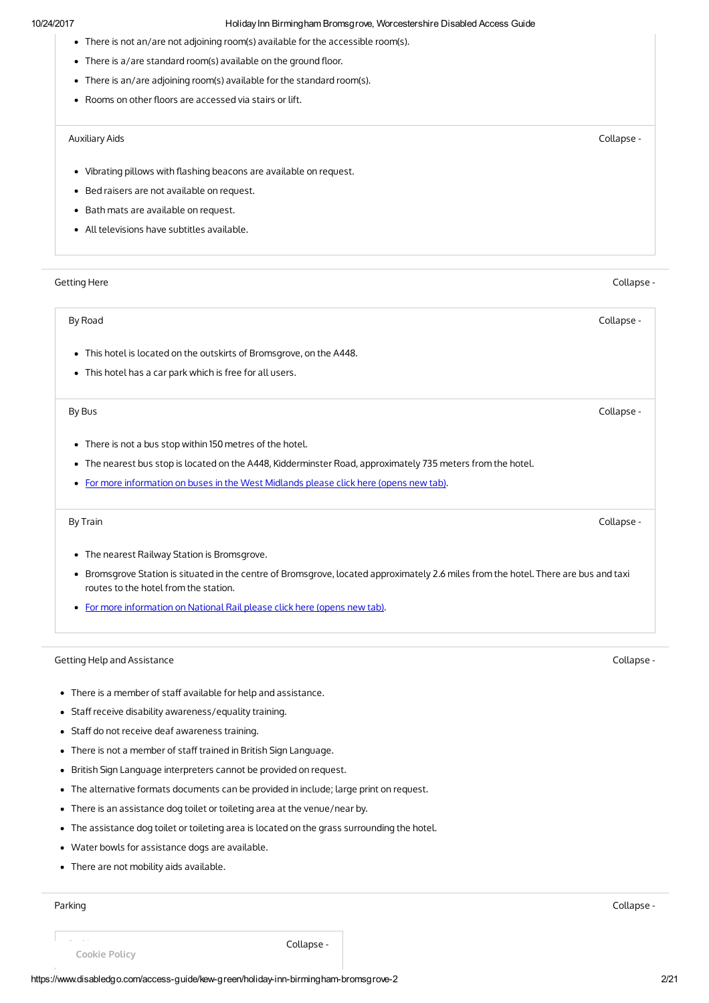- There is not an/are not adjoining room(s) available for the accessible room(s).
- $\bullet$  There is a/are standard room(s) available on the ground floor.
- There is an/are adjoining room(s) available for the standard room(s).
- Rooms on other floors are accessed via stairs or lift.

### Auxiliary Aids Collapse -

- Vibrating pillows with flashing beacons are available on request.
- Bed raisers are not available on request.
- Bath mats are available on request.
- All televisions have subtitles available.

## Getting Here Collapse -

### By Road Collapse -

- This hotel is located on the outskirts of Bromsgrove, on the A448.
- This hotel has a car park which is free for all users.

### By Bus Collapse -

- There is not a bus stop within 150 metres of the hotel.
- The nearest bus stop is located on the A448, Kidderminster Road, approximately 735 meters from the hotel.
- For more [information](http://www.diamondbuses.com/) on buses in the West Midlands please click here (opens new tab).

- The nearest Railway Station is Bromsgrove.
- Bromsgrove Station is situated in the centre of Bromsgrove, located approximately 2.6 miles from the hotel. There are bus and taxi routes to the hotel from the station.
- For more [information](http://www.nationalrail.co.uk/stations/bmv/details.html) on National Rail please click here (opens new tab).

## Getting Help and Assistance Collapse -

- There is a member of staff available for help and assistance.
- Staff receive disability awareness/equality training.
- Staff do not receive deaf awareness training.
- There is not a member of staff trained in British Sign Language.
- British Sign Language interpreters cannot be provided on request.
- The alternative formats documents can be provided in include; large print on request.
- There is an assistance dog toilet or toileting area at the venue/near by.
- The assistance dog toilet or toileting area is located on the grass surrounding the hotel.
- Water bowls for assistance dogs are available.
- There are not mobility aids available.

### Parking Collapse -

Cookie Policy

**Parking Collapse - Collapse - Collapse -**

By Train Collapse -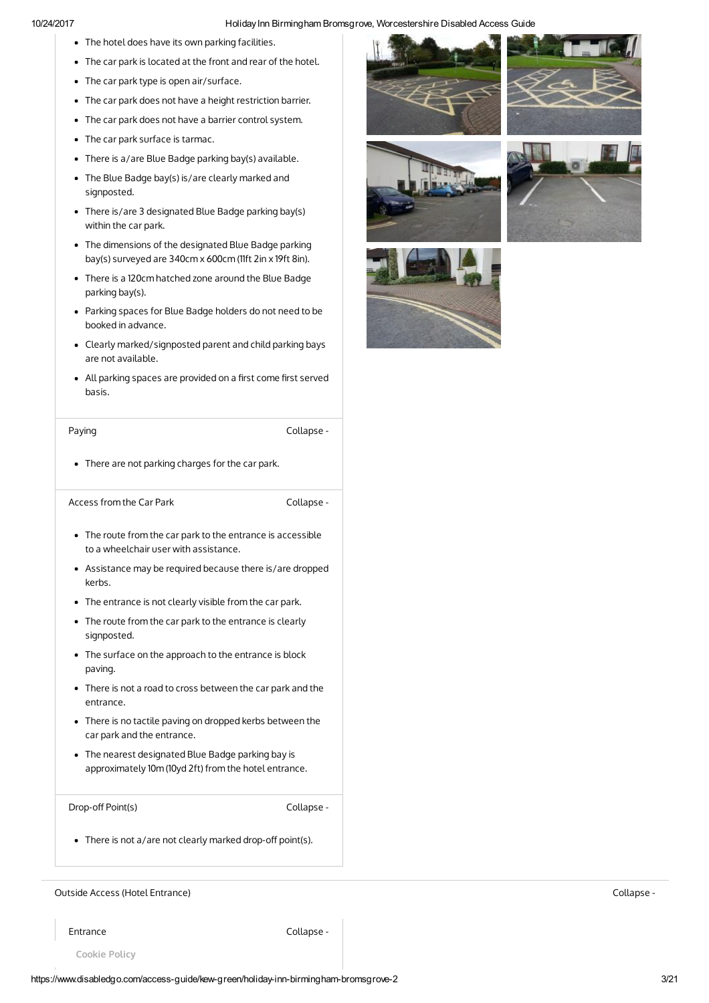- The hotel does have its own parking facilities.
- The car park is located at the front and rear of the hotel.
- The car park type is open air/surface.
- The car park does not have a height restriction barrier.
- The car park does not have a barrier control system.
- The car park surface is tarmac.
- There is a/are Blue Badge parking bay(s) available.
- The Blue Badge bay(s) is/are clearly marked and signposted.
- There is/are 3 designated Blue Badge parking bay(s) within the car park.
- The dimensions of the designated Blue Badge parking bay(s) surveyed are 340cm x 600cm (11ft 2in x 19ft 8in).
- There is a 120cm hatched zone around the Blue Badge parking bay(s).
- Parking spaces for Blue Badge holders do not need to be booked in advance.
- Clearly marked/signposted parent and child parking bays are not available.
- All parking spaces are provided on a first come first served basis.

Paying **Collapse** - **Collapse** - **Collapse** -

• There are not parking charges for the car park.

Access from the Car Park Collapse -

- The route from the car park to the entrance is accessible to a wheelchair user with assistance.
- Assistance may be required because there is/are dropped kerbs.
- The entrance is not clearly visible from the car park.
- The route from the car park to the entrance is clearly signposted.
- The surface on the approach to the entrance is block paving.
- There is not a road to cross between the car park and the entrance.
- There is no tactile paving on dropped kerbs between the car park and the entrance.
- The nearest designated Blue Badge parking bay is approximately 10m (10yd 2ft) from the hotel entrance.

Drop-off Point(s) Collapse -

• There is not a/are not clearly marked drop-off point(s).

Outside Access (Hotel Entrance) Collapse -

Entrance Collapse -









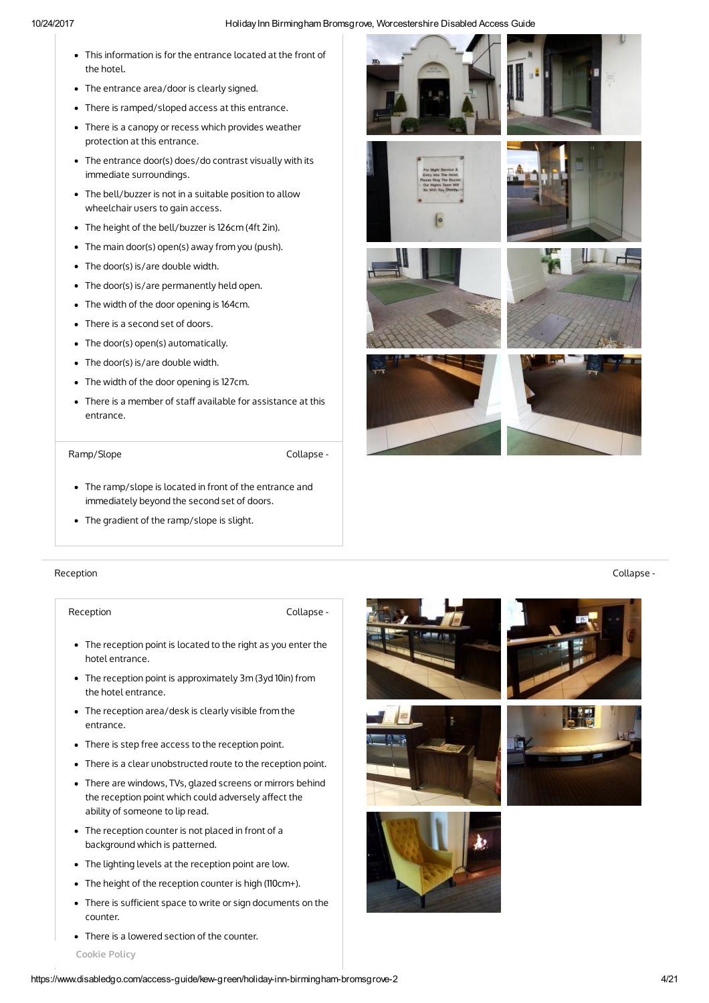- This information is for the entrance located at the front of the hotel.
- The entrance area/door is clearly signed.
- There is ramped/sloped access at this entrance.
- There is a canopy or recess which provides weather protection at this entrance.
- The entrance door(s) does/do contrast visually with its immediate surroundings.
- The bell/buzzer is not in a suitable position to allow wheelchair users to gain access.
- The height of the bell/buzzer is 126cm (4ft 2in).
- The main door(s) open(s) away from you (push).
- The door(s) is/are double width.
- The door(s) is/are permanently held open.
- The width of the door opening is 164cm.
- There is a second set of doors.
- The door(s) open(s) automatically.
- The door(s) is/are double width.
- The width of the door opening is 127cm.
- There is a member of staff available for assistance at this entrance.

# Ramp/Slope Collapse -

- The ramp/slope is located in front of the entrance and immediately beyond the second set of doors.
- The gradient of the ramp/slope is slight.

# Reception Collapse -

Reception **Collapse** -

- The reception point is located to the right as you enter the hotel entrance.
- The reception point is approximately 3m (3yd 10in) from the hotel entrance.
- The reception area/desk is clearly visible from the entrance.
- There is step free access to the reception point.
- There is a clear unobstructed route to the reception point.
- There are windows, TVs, glazed screens or mirrors behind the reception point which could adversely affect the ability of someone to lip read.
- The reception counter is not placed in front of a background which is patterned.
- The lighting levels at the reception point are low.
- The height of the reception counter is high (110cm+).
- There is sufficient space to write or sign documents on the counter.
- There is a lowered section of the counter.





















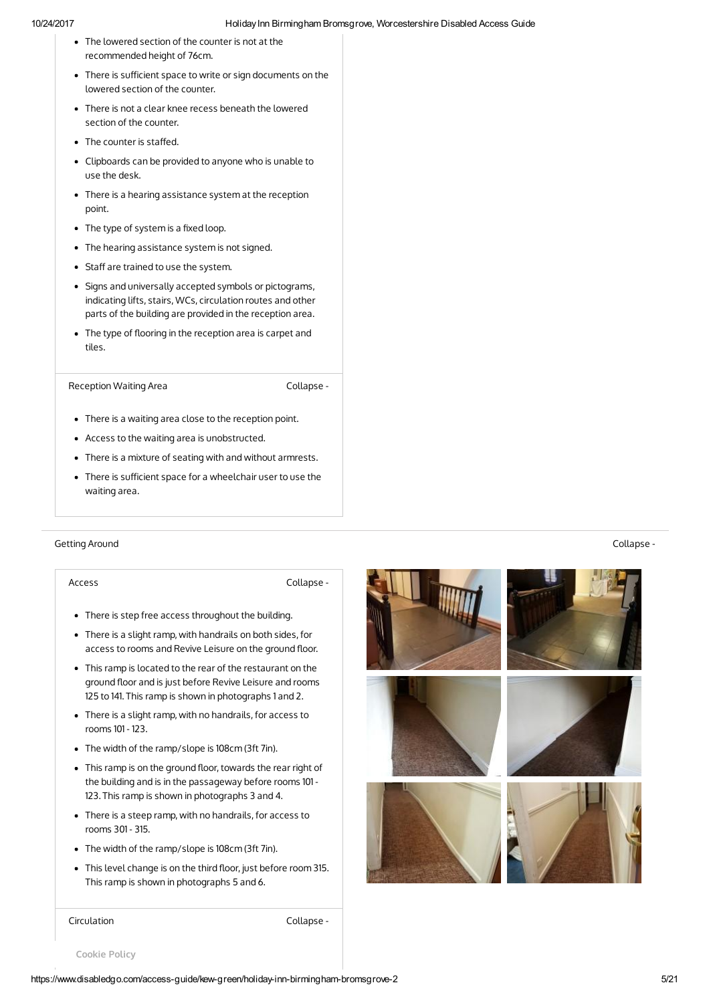- The lowered section of the counter is not at the recommended height of 76cm.
- There is sufficient space to write or sign documents on the lowered section of the counter.
- There is not a clear knee recess beneath the lowered section of the counter.
- $\bullet$  The counter is staffed.
- Clipboards can be provided to anyone who is unable to use the desk.
- There is a hearing assistance system at the reception point.
- $\bullet$  The type of system is a fixed loop.
- The hearing assistance system is not signed.
- Staff are trained to use the system.
- Signs and universally accepted symbols or pictograms, indicating lifts, stairs, WCs, circulation routes and other parts of the building are provided in the reception area.
- The type of flooring in the reception area is carpet and tiles.

Reception Waiting Area **Collapse** -

- There is a waiting area close to the reception point.
- Access to the waiting area is unobstructed.
- There is a mixture of seating with and without armrests.
- There is sufficient space for a wheelchair user to use the waiting area.

### Getting Around Collapse -

Access Collapse -

- There is step free access throughout the building.
- There is a slight ramp, with handrails on both sides, for access to rooms and Revive Leisure on the ground floor.
- This ramp is located to the rear of the restaurant on the ground floor and is just before Revive Leisure and rooms 125 to 141. This ramp is shown in photographs 1 and 2.
- There is a slight ramp, with no handrails, for access to rooms 101 - 123.
- The width of the ramp/slope is 108cm (3ft 7in).
- This ramp is on the ground floor, towards the rear right of the building and is in the passageway before rooms 101 - 123. This ramp is shown in photographs 3 and 4.
- There is a steep ramp, with no handrails, for access to rooms 301 - 315.
- The width of the ramp/slope is 108cm (3ft 7in).
- This level change is on the third floor, just before room 315. This ramp is shown in photographs 5 and 6.



Circulation Collapse -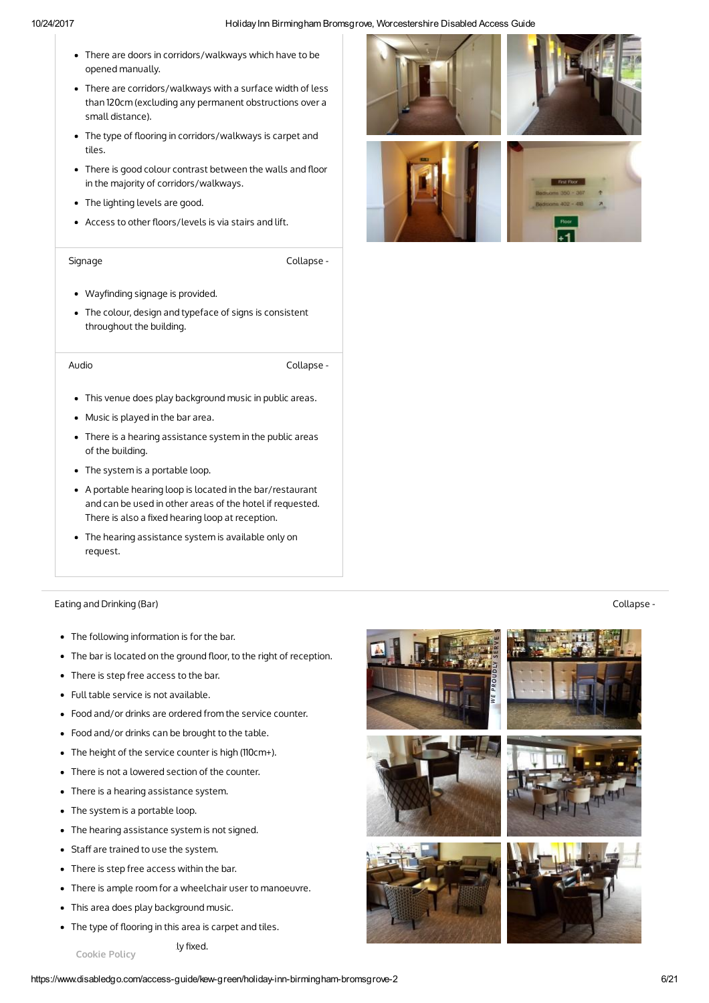- There are doors in corridors/walkways which have to be opened manually.
- There are corridors/walkways with a surface width of less than 120cm (excluding any permanent obstructions over a small distance).
- The type of flooring in corridors/walkways is carpet and tiles.
- There is good colour contrast between the walls and floor in the majority of corridors/walkways.
- The lighting levels are good.
- Access to other floors/levels is via stairs and lift.

Signage Collapse -

- Wayfinding signage is provided.
- The colour, design and typeface of signs is consistent throughout the building.

Audio Collapse -

- This venue does play background music in public areas.
- Music is played in the bar area.
- There is a hearing assistance system in the public areas of the building.
- The system is a portable loop.
- A portable hearing loop is located in the bar/restaurant and can be used in other areas of the hotel if requested. There is also a fixed hearing loop at reception.
- The hearing assistance system is available only on request.

## Eating and Drinking (Bar) Collapse -

- The following information is for the bar.
- The bar is located on the ground floor, to the right of reception.
- There is step free access to the bar.
- Full table service is not available.
- Food and/or drinks are ordered from the service counter.
- Food and/or drinks can be brought to the table.
- The height of the service counter is high (110cm+).
- There is not a lowered section of the counter.
- There is a hearing assistance system.
- The system is a portable loop.
- The hearing assistance system is not signed.
- Staff are trained to use the system.
- There is step free access within the bar.
- There is ample room for a wheelchair user to manoeuvre.

Iv fixed.

- This area does play background music.
- The type of flooring in this area is carpet and tiles.



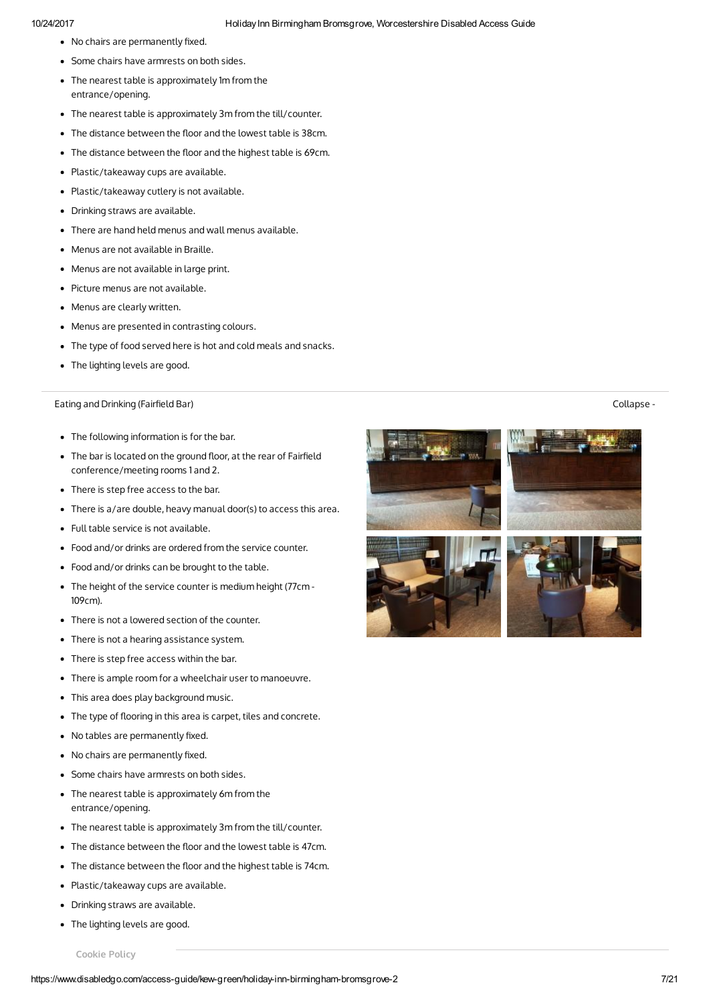- No chairs are permanently fixed.
- Some chairs have armrests on both sides.
- The nearest table is approximately 1m from the entrance/opening.
- The nearest table is approximately 3m from the till/counter.
- The distance between the floor and the lowest table is 38cm.
- The distance between the floor and the highest table is 69cm.
- Plastic/takeaway cups are available.
- Plastic/takeaway cutlery is not available.
- Drinking straws are available.
- There are hand held menus and wall menus available.
- Menus are not available in Braille.
- Menus are not available in large print.
- Picture menus are not available.
- Menus are clearly written.
- Menus are presented in contrasting colours.
- The type of food served here is hot and cold meals and snacks.
- The lighting levels are good.

## Eating and Drinking (Fairfield Bar) Sollapse - Sollapse - Sollapse - Sollapse - Sollapse - Sollapse - Sollapse -

- The following information is for the bar.
- The bar is located on the ground floor, at the rear of Fairfield conference/meeting rooms 1 and 2.
- There is step free access to the bar.
- There is a/are double, heavy manual door(s) to access this area.
- Full table service is not available.
- Food and/or drinks are ordered from the service counter.
- Food and/or drinks can be brought to the table.
- The height of the service counter is medium height (77cm 109cm).
- There is not a lowered section of the counter.
- There is not a hearing assistance system.
- There is step free access within the bar.
- There is ample room for a wheelchair user to manoeuvre.
- This area does play background music.
- The type of flooring in this area is carpet, tiles and concrete.
- $\bullet$  No tables are permanently fixed.
- $\bullet$  No chairs are permanently fixed.
- Some chairs have armrests on both sides.
- The nearest table is approximately 6m from the entrance/opening.
- The nearest table is approximately 3m from the till/counter.
- The distance between the floor and the lowest table is 47cm.
- The distance between the floor and the highest table is 74cm.
- Plastic/takeaway cups are available.
- Drinking straws are available.
- The lighting levels are good.





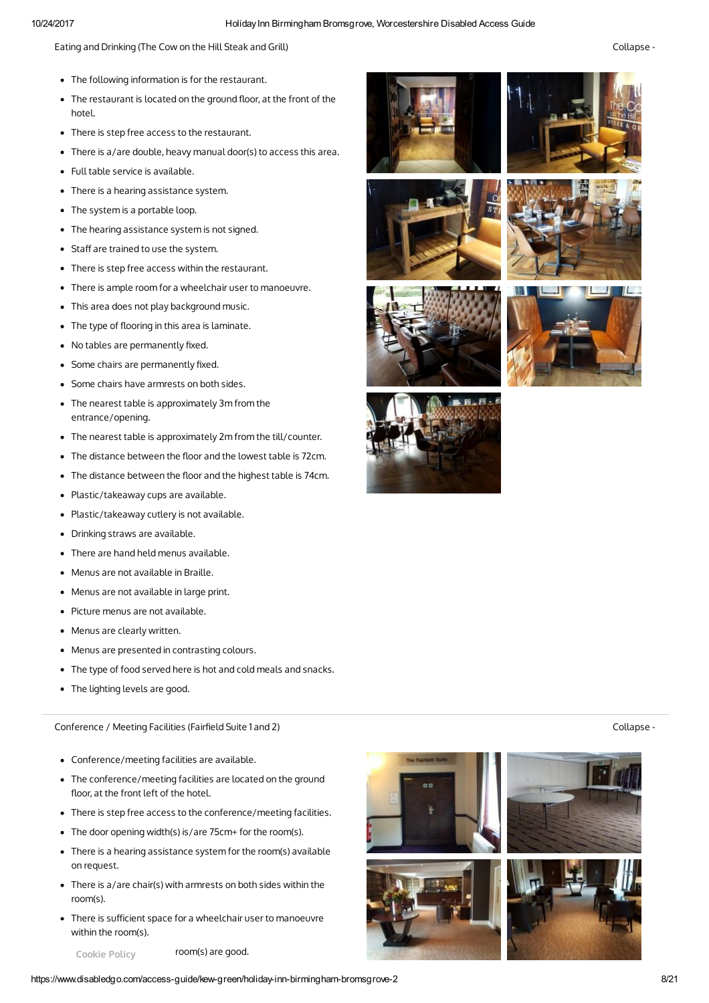Eating and Drinking (The Cow on the Hill Steak and Grill) Collapse -

- The following information is for the restaurant.
- The restaurant is located on the ground floor, at the front of the hotel.
- There is step free access to the restaurant.
- There is a/are double, heavy manual door(s) to access this area.
- Full table service is available.
- There is a hearing assistance system.
- The system is a portable loop.
- The hearing assistance system is not signed.
- Staff are trained to use the system.
- There is step free access within the restaurant.
- There is ample room for a wheelchair user to manoeuvre.
- This area does not play background music.
- The type of flooring in this area is laminate.
- $\bullet$  No tables are permanently fixed.
- Some chairs are permanently fixed.
- Some chairs have armrests on both sides.
- The nearest table is approximately 3m from the entrance/opening.
- The nearest table is approximately 2m from the till/counter.
- The distance between the floor and the lowest table is 72cm.
- The distance between the floor and the highest table is 74cm.
- Plastic/takeaway cups are available.
- Plastic/takeaway cutlery is not available.
- Drinking straws are available.
- There are hand held menus available.
- Menus are not available in Braille.
- Menus are not available in large print.
- Picture menus are not available.
- Menus are clearly written.
- Menus are presented in contrasting colours.
- The type of food served here is hot and cold meals and snacks.
- The lighting levels are good.

Conference / Meeting Facilities (Fairfield Suite 1 and 2) Collapse - Collapse - Collapse -

- Conference/meeting facilities are available.
- The conference/meeting facilities are located on the ground floor, at the front left of the hotel.
- There is step free access to the conference/meeting facilities.
- The door opening width(s) is/are 75cm+ for the room(s).
- There is a hearing assistance system for the room(s) available on request.
- There is a/are chair(s) with armrests on both sides within the room(s).
- There is sufficient space for a wheelchair user to manoeuvre within the room(s).
	- Cookie Policy room(s) are good.















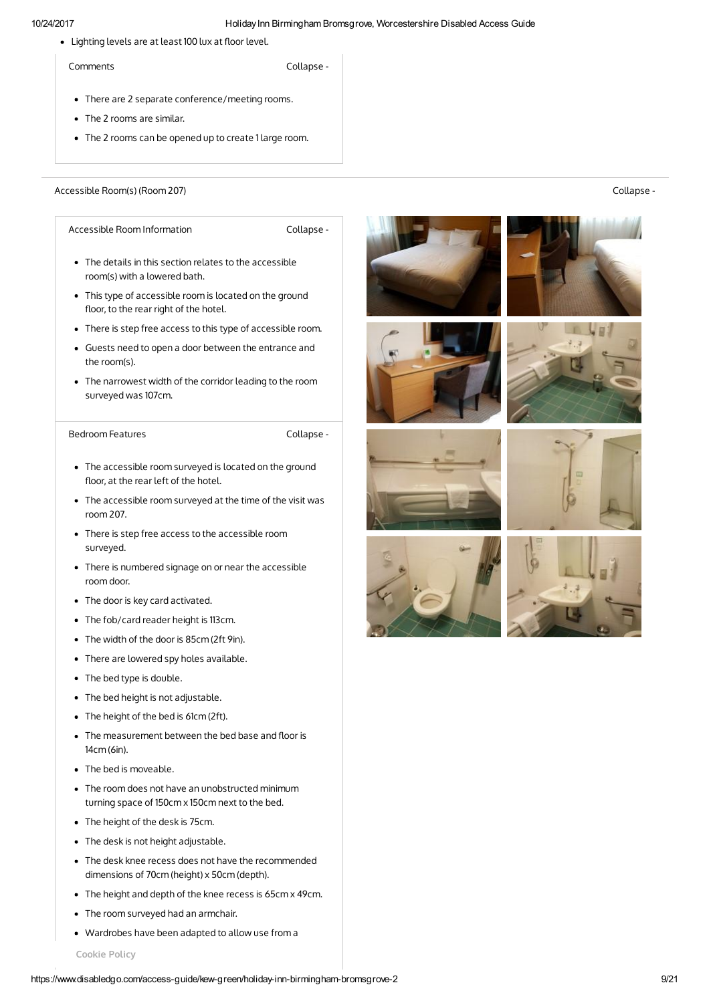• Lighting levels are at least 100 lux at floor level.

Comments Collapse -

- There are 2 separate conference/meeting rooms.
- The 2 rooms are similar.
- The 2 rooms can be opened up to create 1 large room.

Accessible Room(s) (Room 207) Collapse -

Accessible Room Information entitled and Collapse -

- The details in this section relates to the accessible room(s) with a lowered bath.
- This type of accessible room is located on the ground floor, to the rear right of the hotel.
- There is step free access to this type of accessible room.
- Guests need to open a door between the entrance and the room(s).
- The narrowest width of the corridor leading to the room surveyed was 107cm.

Bedroom Features **Collapse** -

- The accessible room surveyed is located on the ground floor, at the rear left of the hotel.
- The accessible room surveyed at the time of the visit was room 207.
- There is step free access to the accessible room surveyed.
- There is numbered signage on or near the accessible room door.
- The door is key card activated.
- The fob/card reader height is 113cm.
- The width of the door is 85cm (2ft 9in).
- There are lowered spy holes available.
- The bed type is double.
- The bed height is not adjustable.
- The height of the bed is 61cm (2ft).
- $\bullet$  The measurement between the bed base and floor is 14cm (6in).
- The bed is moveable.
- The room does not have an unobstructed minimum turning space of 150cm x 150cm next to the bed.
- The height of the desk is 75cm.
- The desk is not height adjustable.
- The desk knee recess does not have the recommended dimensions of 70cm (height) x 50cm (depth).
- The height and depth of the knee recess is 65cm x 49cm.
- The room surveyed had an armchair.
- Wardrobes have been adapted to allow use from a





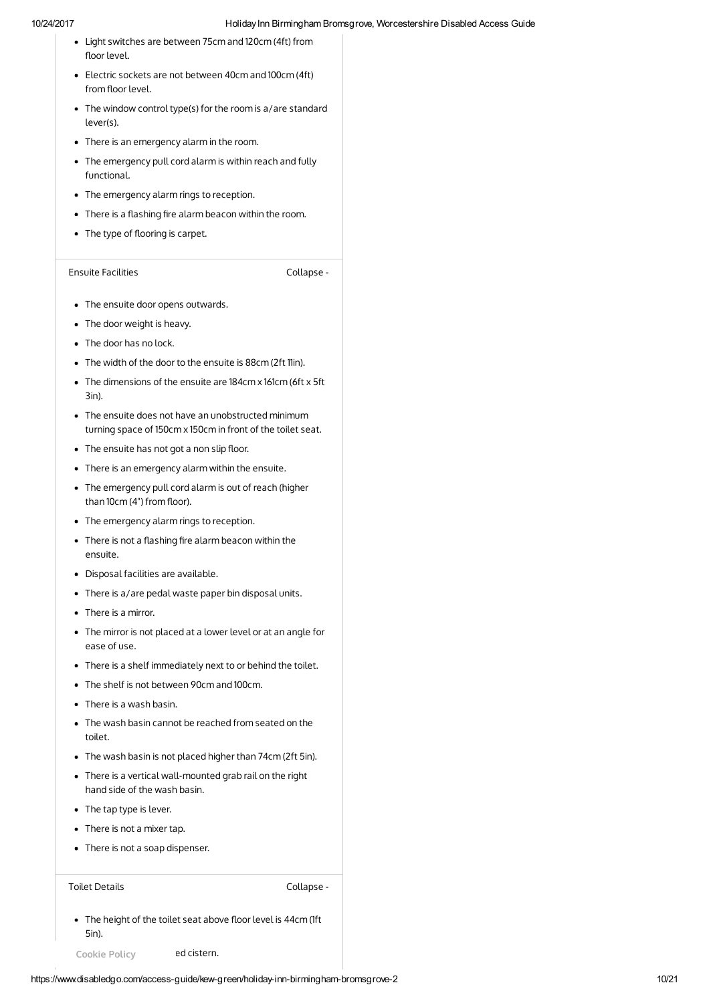- Light switches are between 75cm and 120cm (4ft) from floor level.
- Electric sockets are not between 40cm and 100cm (4ft) from floor level.
- The window control type(s) for the room is a/are standard lever(s).
- There is an emergency alarm in the room.
- The emergency pull cord alarm is within reach and fully functional.
- The emergency alarm rings to reception.
- $\bullet$  There is a flashing fire alarm beacon within the room.
- The type of flooring is carpet.

# Ensuite Facilities Collapse -

- The ensuite door opens outwards.
- The door weight is heavy.
- The door has no lock.
- The width of the door to the ensuite is 88cm (2ft 11in).
- The dimensions of the ensuite are 184cm x 161cm (6ft x 5ft 3in).
- The ensuite does not have an unobstructed minimum turning space of 150cm x 150cm in front of the toilet seat.
- $\bullet$  The ensuite has not got a non slip floor.
- There is an emergency alarm within the ensuite.
- The emergency pull cord alarm is out of reach (higher than 10cm (4") from floor).
- The emergency alarm rings to reception.
- $\bullet$  There is not a flashing fire alarm beacon within the ensuite.
- Disposal facilities are available.
- There is a/are pedal waste paper bin disposal units.
- There is a mirror.
- The mirror is not placed at a lower level or at an angle for ease of use.
- There is a shelf immediately next to or behind the toilet.
- The shelf is not between 90cm and 100cm.
- There is a wash basin.
- The wash basin cannot be reached from seated on the toilet.
- The wash basin is not placed higher than 74cm (2ft 5in).
- There is a vertical wall-mounted grab rail on the right hand side of the wash basin.
- The tap type is lever.
- There is not a mixer tap.
- There is not a soap dispenser.

Toilet Details **Collapse** -

• The height of the toilet seat above floor level is 44cm (1ft 5in).

Cookie Policy ed cistern.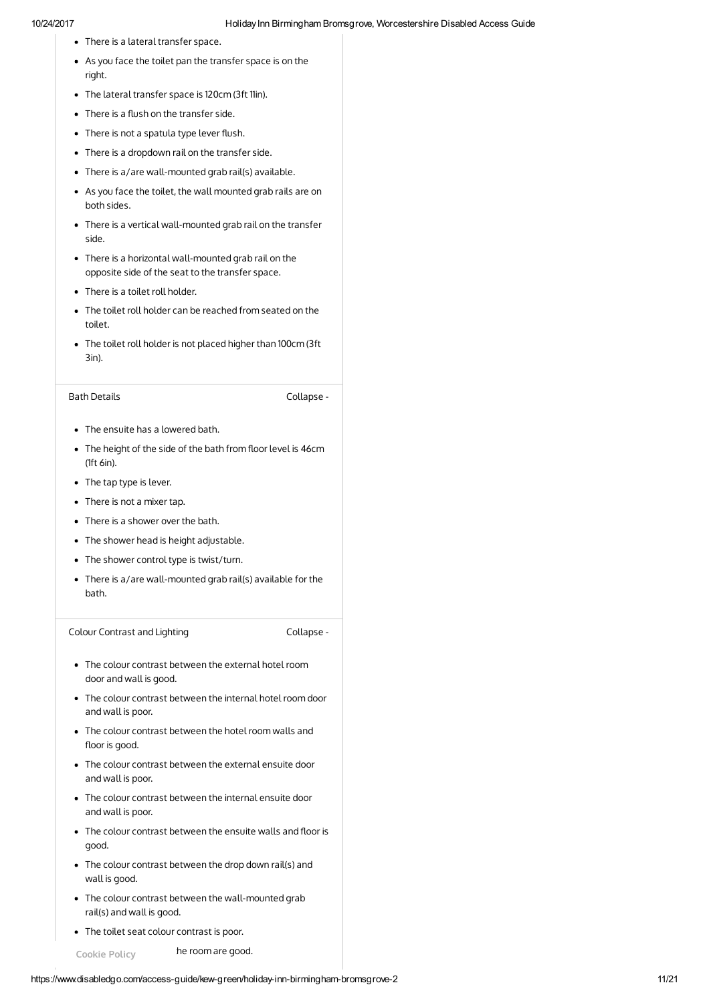- There is a lateral transfer space.
- As you face the toilet pan the transfer space is on the right.
- The lateral transfer space is 120cm (3ft 11in).
- $\bullet$  There is a flush on the transfer side.
- There is not a spatula type lever flush.
- There is a dropdown rail on the transfer side.
- There is a/are wall-mounted grab rail(s) available.
- As you face the toilet, the wall mounted grab rails are on both sides.
- There is a vertical wall-mounted grab rail on the transfer side.
- There is a horizontal wall-mounted grab rail on the opposite side of the seat to the transfer space.
- There is a toilet roll holder.
- The toilet roll holder can be reached from seated on the toilet.
- The toilet roll holder is not placed higher than 100cm (3ft 3in).

# Bath Details **Collapse** -

- The ensuite has a lowered bath.
- The height of the side of the bath from floor level is 46cm (1ft 6in).
- The tap type is lever.
- There is not a mixer tap.
- There is a shower over the bath.
- The shower head is height adjustable.
- The shower control type is twist/turn.
- There is a/are wall-mounted grab rail(s) available for the bath.

Colour Contrast and Lighting Collapse -

- The colour contrast between the external hotel room door and wall is good.
- The colour contrast between the internal hotel room door and wall is poor.
- The colour contrast between the hotel room walls and floor is good.
- The colour contrast between the external ensuite door and wall is poor.
- The colour contrast between the internal ensuite door and wall is poor.
- The colour contrast between the ensuite walls and floor is good.
- The colour contrast between the drop down rail(s) and wall is good.
- The colour contrast between the wall-mounted grab rail(s) and wall is good.
- The toilet seat colour contrast is poor.

Cookie Policy he room are good.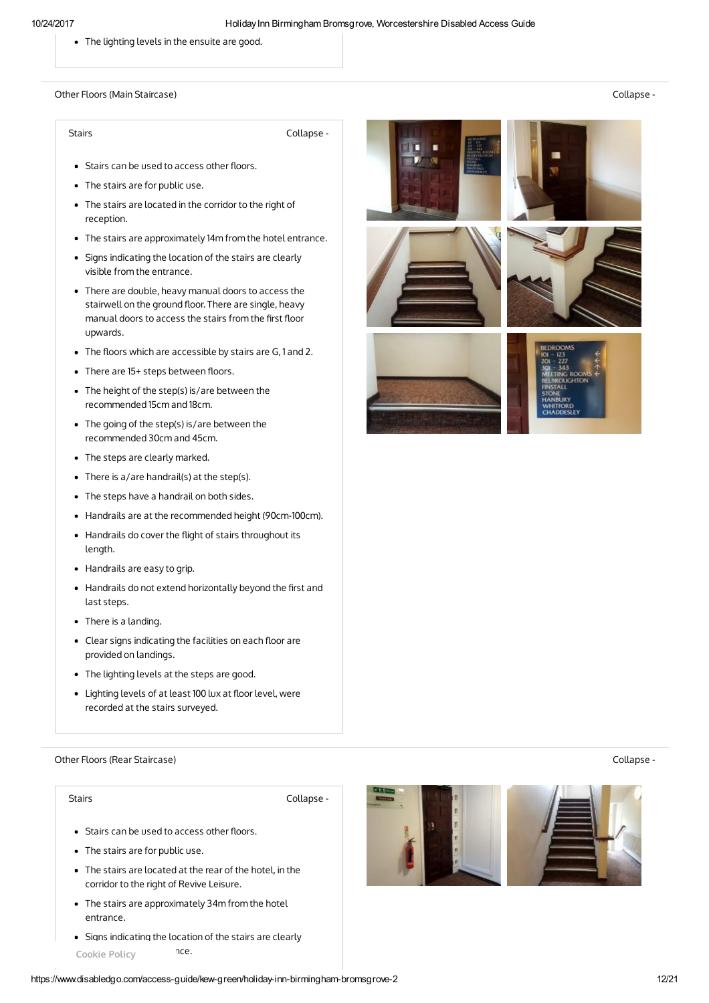The lighting levels in the ensuite are good.

Other Floors (Main Staircase) Collapse -

Stairs **Collapse** -

- Stairs can be used to access other floors.
- The stairs are for public use.
- The stairs are located in the corridor to the right of reception.
- The stairs are approximately 14m from the hotel entrance.
- Signs indicating the location of the stairs are clearly visible from the entrance.
- There are double, heavy manual doors to access the stairwell on the ground floor. There are single, heavy manual doors to access the stairs from the first floor upwards.
- The floors which are accessible by stairs are G, 1 and 2.
- There are 15+ steps between floors.
- The height of the step(s) is/are between the recommended 15cm and 18cm.
- The going of the step(s) is/are between the recommended 30cm and 45cm.
- The steps are clearly marked.
- There is a/are handrail(s) at the step(s).
- The steps have a handrail on both sides.
- Handrails are at the recommended height (90cm-100cm).
- Handrails do cover the flight of stairs throughout its length.
- Handrails are easy to grip.
- Handrails do not extend horizontally beyond the first and last steps.
- There is a landing.
- Clear signs indicating the facilities on each floor are provided on landings.
- The lighting levels at the steps are good.
- Lighting levels of at least 100 lux at floor level, were recorded at the stairs surveyed.

Other Floors (Rear Staircase) Collapse -

Stairs **Collapse** - **Collapse** - **Collapse** -

- Stairs can be used to access other floors.
- The stairs are for public use.
- The stairs are located at the rear of the hotel, in the corridor to the right of Revive Leisure.
- The stairs are approximately 34m from the hotel entrance.
- Signs indicating the location of the stairs are clearly Cookie Policy **nce.**











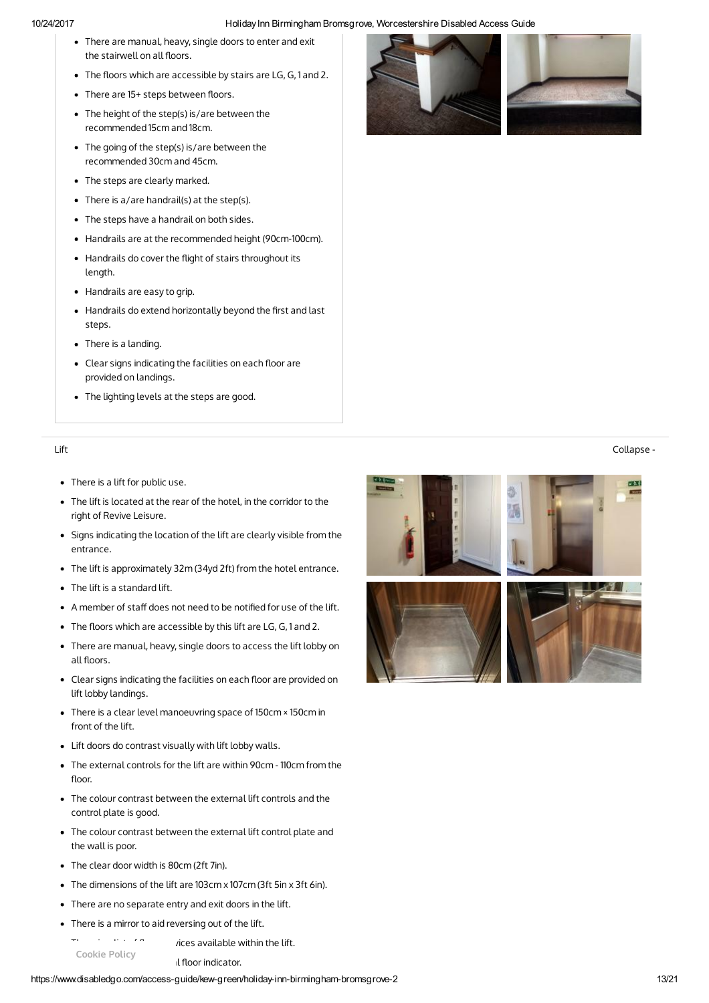- There are manual, heavy, single doors to enter and exit the stairwell on all floors.
- The floors which are accessible by stairs are LG, G, 1 and 2.
- There are 15+ steps between floors.
- The height of the step(s) is/are between the recommended 15cm and 18cm.
- The going of the step(s) is/are between the recommended 30cm and 45cm.
- The steps are clearly marked.
- There is a/are handrail(s) at the step(s).
- The steps have a handrail on both sides.
- Handrails are at the recommended height (90cm-100cm).
- Handrails do cover the flight of stairs throughout its length.
- Handrails are easy to grip.
- $\bullet$  Handrails do extend horizontally beyond the first and last steps.
- There is a landing.
- Clear signs indicating the facilities on each floor are provided on landings.
- The lighting levels at the steps are good.

- There is a lift for public use.
- The lift is located at the rear of the hotel, in the corridor to the right of Revive Leisure.
- Signs indicating the location of the lift are clearly visible from the entrance.
- The lift is approximately 32m (34yd 2ft) from the hotel entrance.
- The lift is a standard lift.
- A member of staff does not need to be notified for use of the lift.
- The floors which are accessible by this lift are LG, G, 1 and 2.
- There are manual, heavy, single doors to access the lift lobby on all floors.
- Clear signs indicating the facilities on each floor are provided on lift lobby landings.
- There is a clear level manoeuvring space of 150cm × 150cm in front of the lift.
- Lift doors do contrast visually with lift lobby walls.
- The external controls for the lift are within 90cm 110cm from the floor.
- The colour contrast between the external lift controls and the control plate is good.
- The colour contrast between the external lift control plate and the wall is poor.
- The clear door width is 80cm (2ft 7in).
- The dimensions of the lift are 103cm x 107cm (3ft 5in x 3ft 6in).
- There are no separate entry and exit doors in the lift.
- There is a mirror to aid reversing out of the lift.

 $T = \frac{1}{2}$  are  $\frac{1}{2}$  is a list of  $\frac{1}{2}$  is a vailable within the lift. Il floor indicator. Cookie Policy

https://www.disabledgo.com/access-guide/kew-green/holiday-inn-birmingham-bromsgrove-2 13/21





# Lift Collapse -

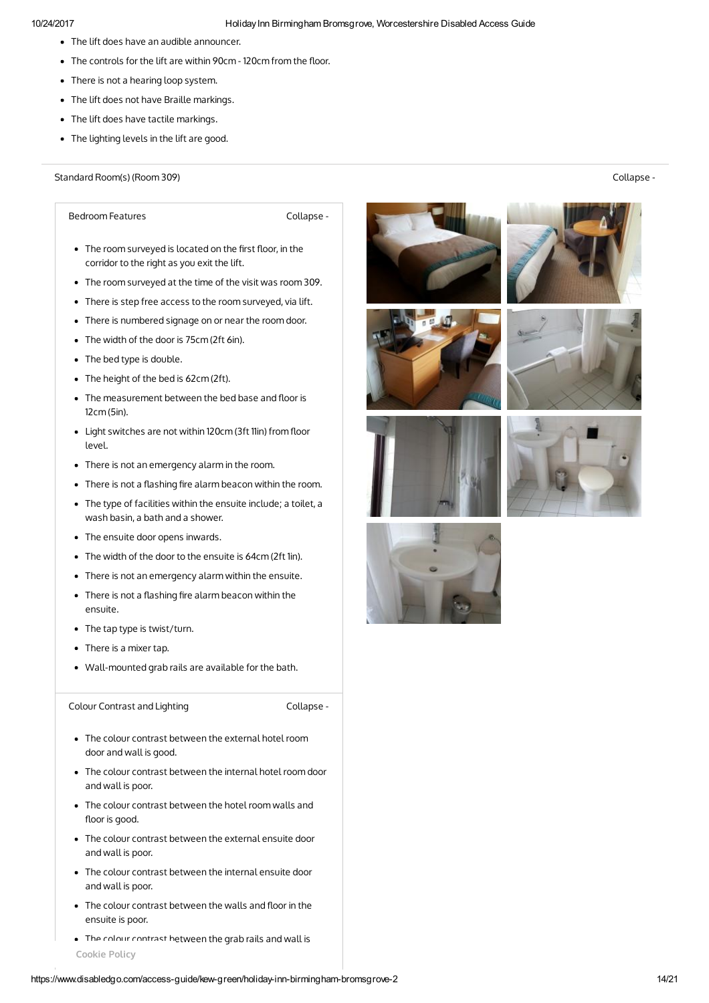- The lift does have an audible announcer.
- $\bullet$  The controls for the lift are within 90cm 120cm from the floor.
- There is not a hearing loop system.
- The lift does not have Braille markings.
- The lift does have tactile markings.
- The lighting levels in the lift are good.

Standard Room(s) (Room 309) Collapse -

Bedroom Features **Collapse** -

- The room surveyed is located on the first floor, in the corridor to the right as you exit the lift.
- The room surveyed at the time of the visit was room 309.
- There is step free access to the room surveyed, via lift.
- There is numbered signage on or near the room door.
- The width of the door is 75cm (2ft 6in).
- The bed type is double.
- The height of the bed is 62cm (2ft).
- $\bullet$  The measurement between the bed base and floor is 12cm (5in).
- Light switches are not within 120cm (3ft 11in) from floor level.
- There is not an emergency alarm in the room.
- $\bullet$  There is not a flashing fire alarm beacon within the room.
- The type of facilities within the ensuite include; a toilet, a wash basin, a bath and a shower.
- The ensuite door opens inwards.
- The width of the door to the ensuite is 64cm (2ft 1in).
- There is not an emergency alarm within the ensuite.
- $\bullet$  There is not a flashing fire alarm beacon within the ensuite.
- The tap type is twist/turn.
- There is a mixer tap.
- Wall-mounted grab rails are available for the bath.

Colour Contrast and Lighting Collapse -

- The colour contrast between the external hotel room door and wall is good.
- The colour contrast between the internal hotel room door and wall is poor.
- The colour contrast between the hotel room walls and floor is good.
- The colour contrast between the external ensuite door and wall is poor.
- The colour contrast between the internal ensuite door and wall is poor.
- The colour contrast between the walls and floor in the ensuite is poor.
- The colour contrast between the grab rails and wall is Cookie Policy















https://www.disabledgo.com/access-guide/kew-green/holiday-inn-birmingham-bromsgrove-2 14/21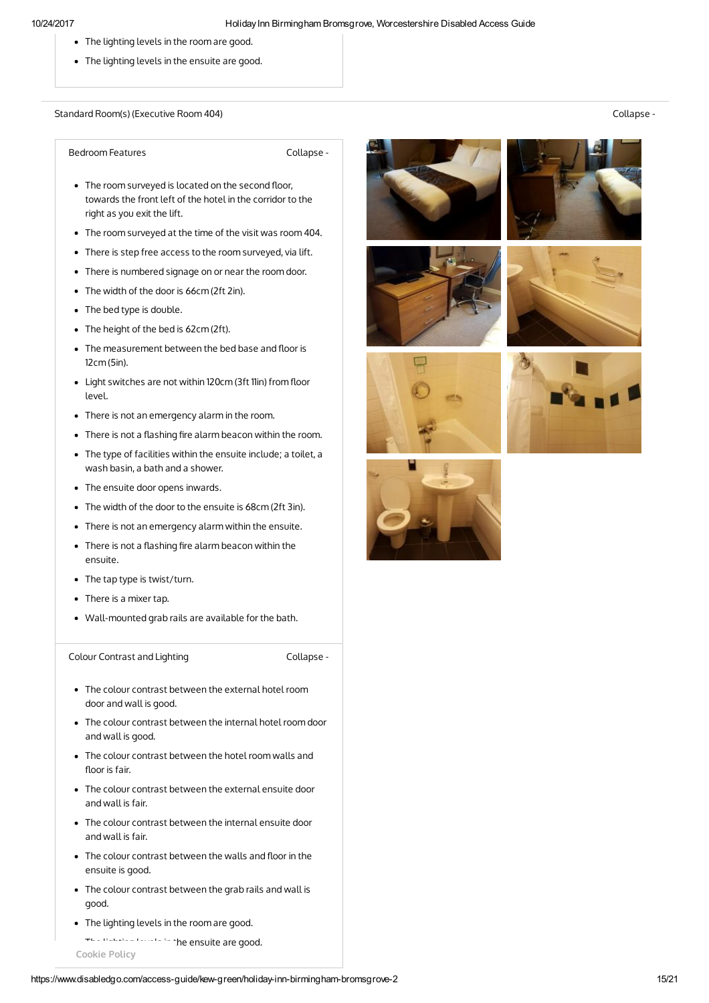- The lighting levels in the room are good.
- The lighting levels in the ensuite are good.

Standard Room(s) (Executive Room 404) Collapse -

Bedroom Features **Collapse** -

- The room surveyed is located on the second floor, towards the front left of the hotel in the corridor to the right as you exit the lift.
- The room surveyed at the time of the visit was room 404.
- There is step free access to the room surveyed, via lift.
- There is numbered signage on or near the room door.
- The width of the door is 66cm (2ft 2in).
- The bed type is double.
- The height of the bed is 62cm (2ft).
- $\bullet$  The measurement between the bed base and floor is 12cm (5in).
- Light switches are not within 120cm (3ft 11in) from floor level.
- There is not an emergency alarm in the room.
- $\bullet$  There is not a flashing fire alarm beacon within the room.
- The type of facilities within the ensuite include; a toilet, a wash basin, a bath and a shower.
- The ensuite door opens inwards.
- The width of the door to the ensuite is 68cm (2ft 3in).
- There is not an emergency alarm within the ensuite.
- $\bullet$  There is not a flashing fire alarm beacon within the ensuite.
- The tap type is twist/turn.
- There is a mixer tap.
- Wall-mounted grab rails are available for the bath.

Colour Contrast and Lighting The Collapse -

- The colour contrast between the external hotel room door and wall is good.
- The colour contrast between the internal hotel room door and wall is good.
- The colour contrast between the hotel room walls and floor is fair.
- The colour contrast between the external ensuite door and wall is fair.
- The colour contrast between the internal ensuite door and wall is fair.
- The colour contrast between the walls and floor in the ensuite is good.
- The colour contrast between the grab rails and wall is good.
- The lighting levels in the room are good.
- The lighting levels in the ensuite are good. Cookie Policy











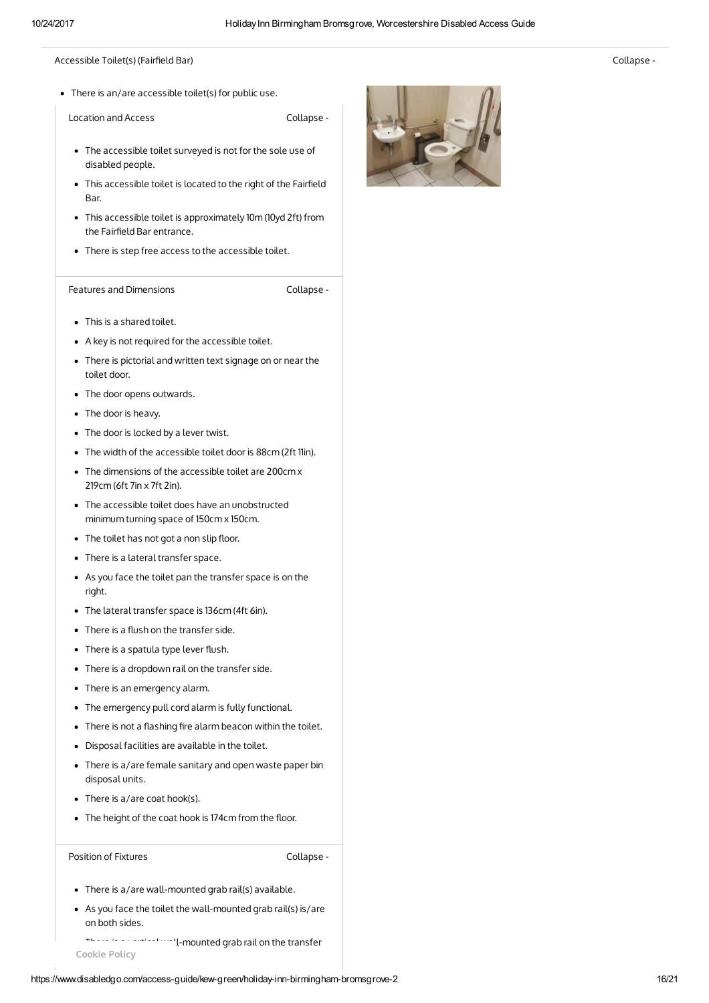## Accessible Toilet(s) (Fairfield Bar) and the collapse - the collapse - the collapse - the collapse -

There is an/are accessible toilet(s) for public use.

Location and Access Collapse -

- The accessible toilet surveyed is not for the sole use of disabled people.
- This accessible toilet is located to the right of the Fairfield Bar.
- This accessible toilet is approximately 10m (10yd 2ft) from the Fairfield Bar entrance.
- There is step free access to the accessible toilet.

Features and Dimensions **Collapse** -

- This is a shared toilet.
- A key is not required for the accessible toilet.
- There is pictorial and written text signage on or near the toilet door.
- The door opens outwards.
- The door is heavy.
- The door is locked by a lever twist.
- The width of the accessible toilet door is 88cm (2ft 11in).
- The dimensions of the accessible toilet are 200cm x 219cm (6ft 7in x 7ft 2in).
- The accessible toilet does have an unobstructed minimum turning space of 150cm x 150cm.
- The toilet has not got a non slip floor.
- There is a lateral transfer space.
- As you face the toilet pan the transfer space is on the right.
- The lateral transfer space is 136cm (4ft 6in).
- $\bullet$  There is a flush on the transfer side.
- $\bullet$  There is a spatula type lever flush.
- There is a dropdown rail on the transfer side.
- There is an emergency alarm.
- The emergency pull cord alarm is fully functional.
- $\bullet$  There is not a flashing fire alarm beacon within the toilet.
- Disposal facilities are available in the toilet.
- There is a/are female sanitary and open waste paper bin disposal units.
- There is a/are coat hook(s).
- The height of the coat hook is 174cm from the floor.

Position of Fixtures **Collapse** -

- There is a/are wall-mounted grab rail(s) available.
- As you face the toilet the wall-mounted grab rail(s) is/are on both sides.
- There is a vertical wall-mounted grab rail on the transfer Cookie Policy

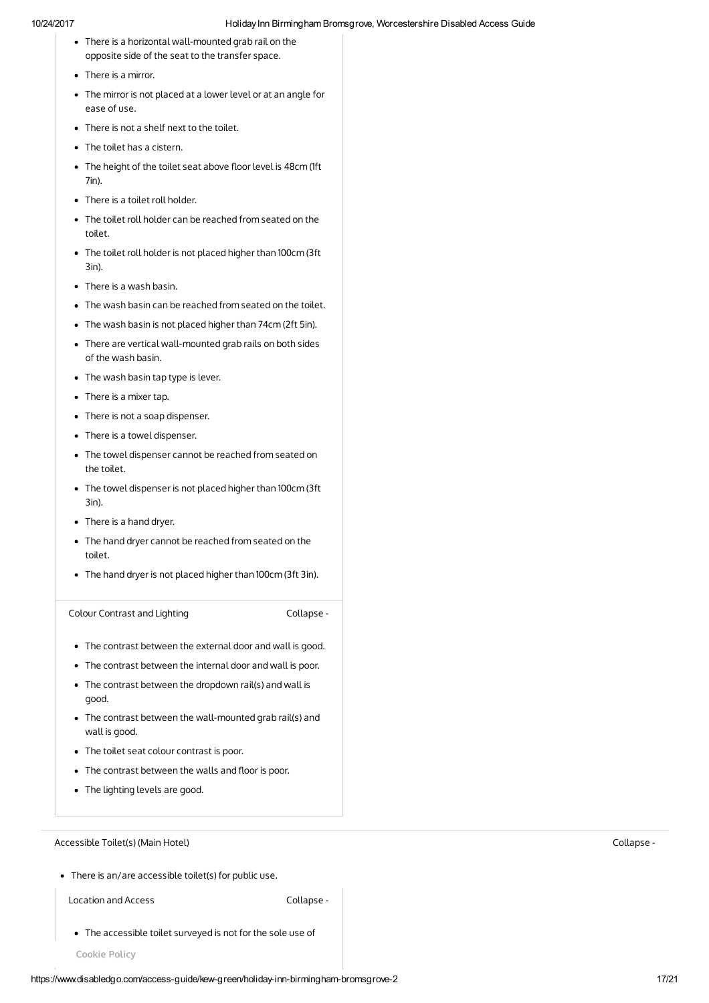- There is a horizontal wall-mounted grab rail on the opposite side of the seat to the transfer space.
- There is a mirror.
- The mirror is not placed at a lower level or at an angle for ease of use.
- There is not a shelf next to the toilet.
- The toilet has a cistern.
- The height of the toilet seat above floor level is 48cm (1ft 7in).
- There is a toilet roll holder.
- The toilet roll holder can be reached from seated on the toilet.
- The toilet roll holder is not placed higher than 100cm (3ft 3in).
- There is a wash basin.
- The wash basin can be reached from seated on the toilet.
- The wash basin is not placed higher than 74cm (2ft 5in).
- There are vertical wall-mounted grab rails on both sides of the wash basin.
- The wash basin tap type is lever.
- There is a mixer tap.
- There is not a soap dispenser.
- There is a towel dispenser.
- The towel dispenser cannot be reached from seated on the toilet.
- The towel dispenser is not placed higher than 100cm (3ft 3in).
- There is a hand dryer.
- The hand dryer cannot be reached from seated on the toilet.
- The hand dryer is not placed higher than 100cm (3ft 3in).

Colour Contrast and Lighting Collapse -

- The contrast between the external door and wall is good.
- The contrast between the internal door and wall is poor.
- The contrast between the dropdown rail(s) and wall is good.
- The contrast between the wall-mounted grab rail(s) and wall is good.
- The toilet seat colour contrast is poor.
- $\bullet$  The contrast between the walls and floor is poor.
- The lighting levels are good.

Accessible Toilet(s) (Main Hotel) Collapse -

There is an/are accessible toilet(s) for public use.

Location and Access **Collapse** -

The accessible toilet surveyed is not for the sole use of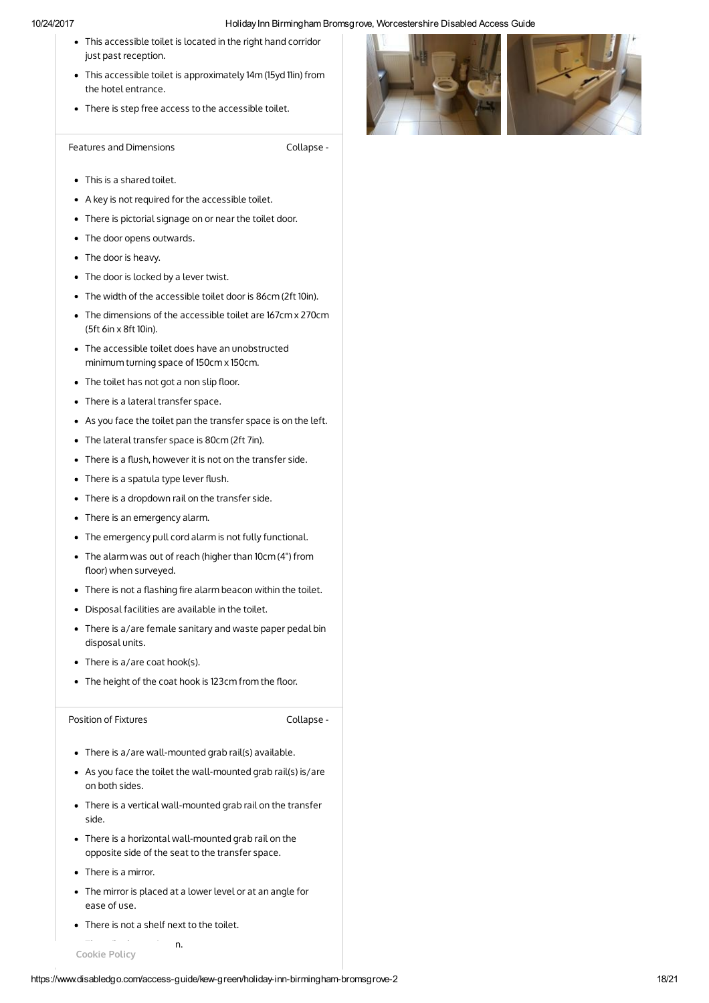- This accessible toilet is located in the right hand corridor just past reception.
- This accessible toilet is approximately 14m (15yd 11in) from the hotel entrance.
- There is step free access to the accessible toilet.

Features and Dimensions **Collapse** -

- This is a shared toilet.
- A key is not required for the accessible toilet.
- There is pictorial signage on or near the toilet door.
- The door opens outwards.
- The door is heavy.
- The door is locked by a lever twist.
- The width of the accessible toilet door is 86cm (2ft 10in).
- The dimensions of the accessible toilet are 167cm x 270cm (5ft 6in x 8ft 10in).
- The accessible toilet does have an unobstructed minimum turning space of 150cm x 150cm.
- The toilet has not got a non slip floor.
- There is a lateral transfer space.
- As you face the toilet pan the transfer space is on the left.
- The lateral transfer space is 80cm (2ft 7in).
- There is a flush, however it is not on the transfer side.
- $\bullet$  There is a spatula type lever flush.
- There is a dropdown rail on the transfer side.
- There is an emergency alarm.
- The emergency pull cord alarm is not fully functional.
- The alarm was out of reach (higher than 10cm (4") from floor) when surveyed.
- $\bullet$  There is not a flashing fire alarm beacon within the toilet.
- Disposal facilities are available in the toilet.
- There is a/are female sanitary and waste paper pedal bin disposal units.
- There is a/are coat hook(s).
- The height of the coat hook is 123cm from the floor.

Position of Fixtures **Collapse** -

- There is a/are wall-mounted grab rail(s) available.
- As you face the toilet the wall-mounted grab rail(s) is/are on both sides.
- There is a vertical wall-mounted grab rail on the transfer side.
- There is a horizontal wall-mounted grab rail on the opposite side of the seat to the transfer space.
- There is a mirror.
- The mirror is placed at a lower level or at an angle for ease of use.
- There is not a shelf next to the toilet.
- $T = T$  to the toilet has a cister Cookie Policy

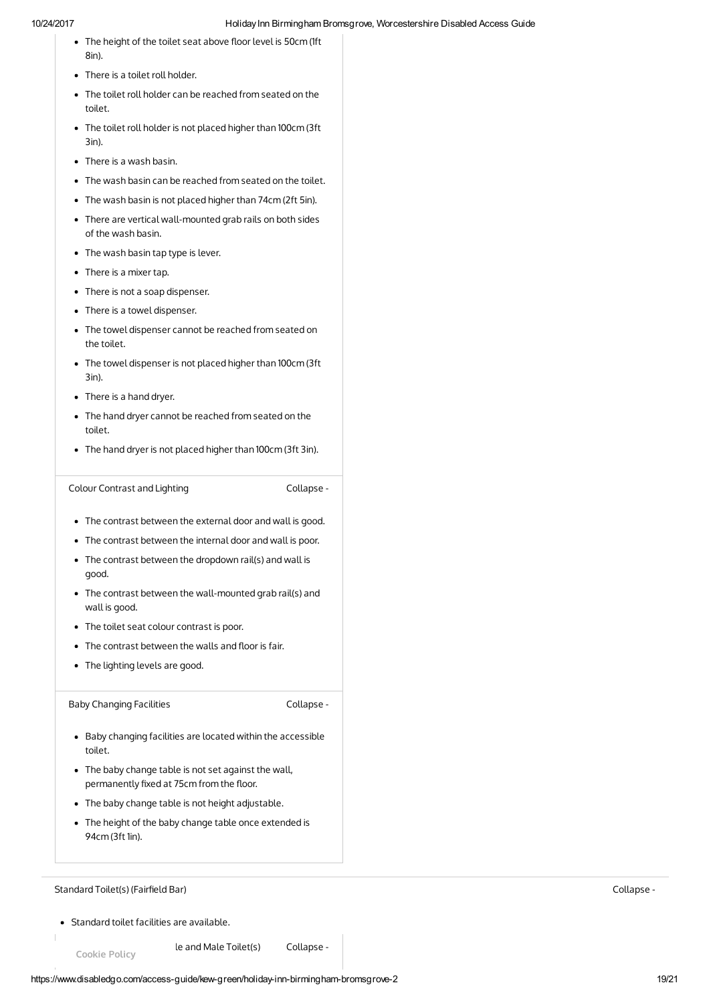- The height of the toilet seat above floor level is 50cm (1ft 8in).
- There is a toilet roll holder.
- The toilet roll holder can be reached from seated on the toilet.
- The toilet roll holder is not placed higher than 100cm (3ft 3in).
- There is a wash basin.
- The wash basin can be reached from seated on the toilet.
- The wash basin is not placed higher than 74cm (2ft 5in).
- There are vertical wall-mounted grab rails on both sides of the wash basin.
- The wash basin tap type is lever.
- There is a mixer tap.
- There is not a soap dispenser.
- There is a towel dispenser.
- The towel dispenser cannot be reached from seated on the toilet.
- The towel dispenser is not placed higher than 100cm (3ft 3in).
- There is a hand dryer.
- The hand dryer cannot be reached from seated on the toilet.
- The hand dryer is not placed higher than 100cm (3ft 3in).

```
Colour Contrast and Lighting The Collapse -
```
- The contrast between the external door and wall is good.
- The contrast between the internal door and wall is poor.
- The contrast between the dropdown rail(s) and wall is good.
- The contrast between the wall-mounted grab rail(s) and wall is good.
- The toilet seat colour contrast is poor.
- $\bullet$  The contrast between the walls and floor is fair.
- The lighting levels are good.

Baby Changing Facilities **Collapse** -

- Baby changing facilities are located within the accessible toilet.
- The baby change table is not set against the wall, permanently fixed at 75cm from the floor.
- The baby change table is not height adjustable.
- The height of the baby change table once extended is 94cm (3ft 1in).

# Standard Toilet(s) (Fairfield Bar) Standard Toilet(s) (Fairfield Bar) Standard Toilet(s) (Fairfield Bar) Collapse -

Standard toilet facilities are available.

le and Male Toilet(s) Collapse -Cookie Policy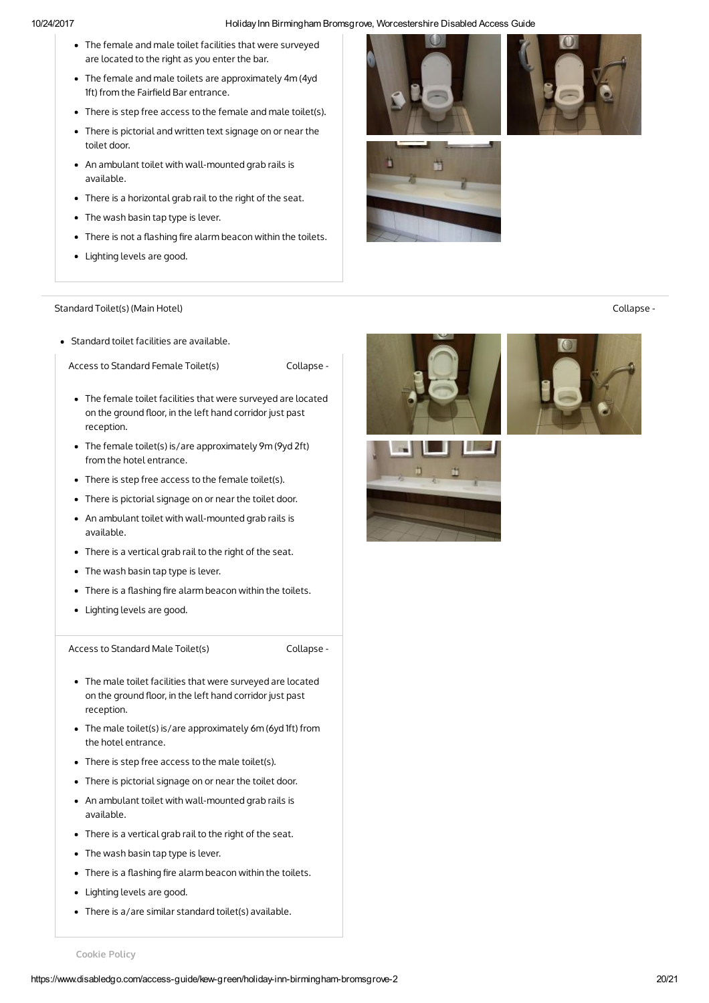- The female and male toilet facilities that were surveyed are located to the right as you enter the bar.
- The female and male toilets are approximately 4m (4yd 1ft) from the Fairfield Bar entrance.
- There is step free access to the female and male toilet(s).
- There is pictorial and written text signage on or near the toilet door.
- An ambulant toilet with wall-mounted grab rails is available.
- There is a horizontal grab rail to the right of the seat.
- The wash basin tap type is lever.
- $\bullet$  There is not a flashing fire alarm beacon within the toilets.
- Lighting levels are good.

## Standard Toilet(s) (Main Hotel) Collapse -

Standard toilet facilities are available.

Access to Standard Female Toilet(s) Collapse -

- The female toilet facilities that were surveyed are located on the ground floor, in the left hand corridor just past reception.
- The female toilet(s) is/are approximately 9m (9yd 2ft) from the hotel entrance.
- There is step free access to the female toilet(s).
- There is pictorial signage on or near the toilet door.
- An ambulant toilet with wall-mounted grab rails is available.
- There is a vertical grab rail to the right of the seat.
- The wash basin tap type is lever.
- There is a flashing fire alarm beacon within the toilets.
- Lighting levels are good.

Access to Standard Male Toilet(s) Collapse -

- The male toilet facilities that were surveyed are located on the ground floor, in the left hand corridor just past reception.
- The male toilet(s) is/are approximately 6m (6yd 1ft) from the hotel entrance.
- There is step free access to the male toilet(s).
- There is pictorial signage on or near the toilet door.
- An ambulant toilet with wall-mounted grab rails is available.
- There is a vertical grab rail to the right of the seat.
- The wash basin tap type is lever.
- $\bullet$  There is a flashing fire alarm beacon within the toilets.
- Lighting levels are good.
- There is a/are similar standard toilet(s) available.